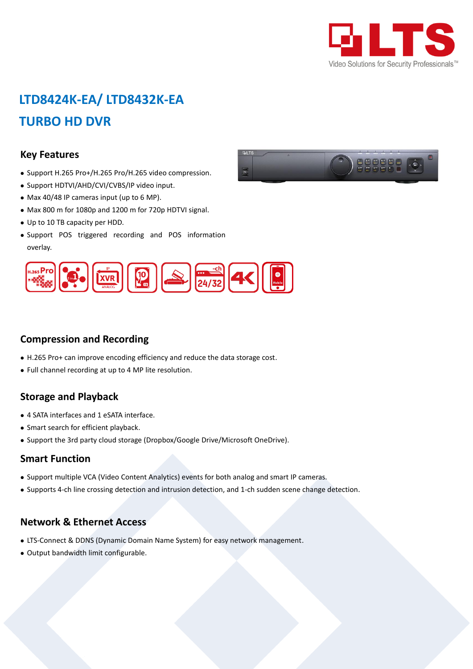

## **LTD8424K-EA/ LTD8432K-EA TURBO HD DVR**

#### **Key Features**

- Support H.265 Pro+/H.265 Pro/H.265 video compression.
- Support HDTVI/AHD/CVI/CVBS/IP video input.
- Max 40/48 IP cameras input (up to 6 MP).
- Max 800 m for 1080p and 1200 m for 720p HDTVI signal.
- Up to 10 TB capacity per HDD.
- Support POS triggered recording and POS information overlay.



#### **Compression and Recording**

- H.265 Pro+ can improve encoding efficiency and reduce the data storage cost.
- Full channel recording at up to 4 MP lite resolution.

#### **Storage and Playback**

- 4 SATA interfaces and 1 eSATA interface.
- Smart search for efficient playback.
- Support the 3rd party cloud storage (Dropbox/Google Drive/Microsoft OneDrive).

#### **Smart Function**

- Support multiple VCA (Video Content Analytics) events for both analog and smart IP cameras.
- Supports 4-ch line crossing detection and intrusion detection, and 1-ch sudden scene change detection.

#### **Network & Ethernet Access**

- LTS-Connect & DDNS (Dynamic Domain Name System) for easy network management.
- Output bandwidth limit configurable.

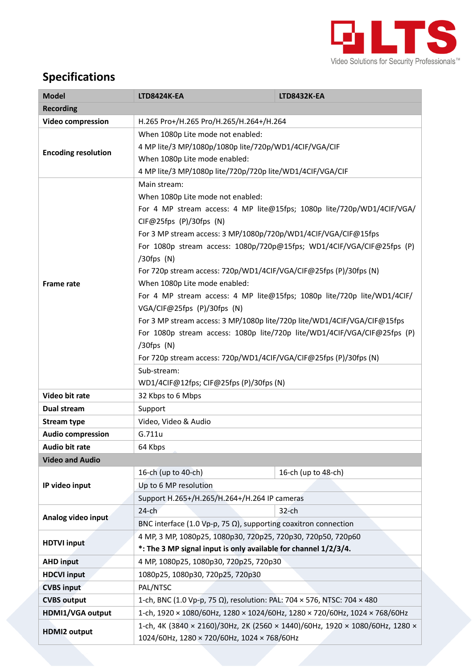

### **Specifications**

| <b>Model</b>               | <b>LTD8424K-EA</b>                                                           | <b>LTD8432K-EA</b>  |  |  |  |
|----------------------------|------------------------------------------------------------------------------|---------------------|--|--|--|
| <b>Recording</b>           |                                                                              |                     |  |  |  |
| <b>Video compression</b>   | H.265 Pro+/H.265 Pro/H.265/H.264+/H.264                                      |                     |  |  |  |
| <b>Encoding resolution</b> | When 1080p Lite mode not enabled:                                            |                     |  |  |  |
|                            | 4 MP lite/3 MP/1080p/1080p lite/720p/WD1/4CIF/VGA/CIF                        |                     |  |  |  |
|                            | When 1080p Lite mode enabled:                                                |                     |  |  |  |
|                            | 4 MP lite/3 MP/1080p lite/720p/720p lite/WD1/4CIF/VGA/CIF                    |                     |  |  |  |
| <b>Frame rate</b>          | Main stream:                                                                 |                     |  |  |  |
|                            | When 1080p Lite mode not enabled:                                            |                     |  |  |  |
|                            | For 4 MP stream access: 4 MP lite@15fps; 1080p lite/720p/WD1/4CIF/VGA/       |                     |  |  |  |
|                            | CIF@25fps (P)/30fps (N)                                                      |                     |  |  |  |
|                            | For 3 MP stream access: 3 MP/1080p/720p/WD1/4CIF/VGA/CIF@15fps               |                     |  |  |  |
|                            | For 1080p stream access: 1080p/720p@15fps; WD1/4CIF/VGA/CIF@25fps (P)        |                     |  |  |  |
|                            | $/30$ fps $(N)$                                                              |                     |  |  |  |
|                            | For 720p stream access: 720p/WD1/4CIF/VGA/CIF@25fps (P)/30fps (N)            |                     |  |  |  |
|                            | When 1080p Lite mode enabled:                                                |                     |  |  |  |
|                            | For 4 MP stream access: 4 MP lite@15fps; 1080p lite/720p lite/WD1/4CIF/      |                     |  |  |  |
|                            | VGA/CIF@25fps (P)/30fps (N)                                                  |                     |  |  |  |
|                            | For 3 MP stream access: 3 MP/1080p lite/720p lite/WD1/4CIF/VGA/CIF@15fps     |                     |  |  |  |
|                            | For 1080p stream access: 1080p lite/720p lite/WD1/4CIF/VGA/CIF@25fps (P)     |                     |  |  |  |
|                            | $/30$ fps $(N)$                                                              |                     |  |  |  |
|                            | For 720p stream access: 720p/WD1/4CIF/VGA/CIF@25fps (P)/30fps (N)            |                     |  |  |  |
|                            | Sub-stream:                                                                  |                     |  |  |  |
|                            | WD1/4CIF@12fps; CIF@25fps (P)/30fps (N)                                      |                     |  |  |  |
| Video bit rate             | 32 Kbps to 6 Mbps                                                            |                     |  |  |  |
| Dual stream                | Support                                                                      |                     |  |  |  |
| <b>Stream type</b>         | Video, Video & Audio                                                         |                     |  |  |  |
| <b>Audio compression</b>   | G.711u                                                                       |                     |  |  |  |
| Audio bit rate             | 64 Kbps                                                                      |                     |  |  |  |
| <b>Video and Audio</b>     |                                                                              |                     |  |  |  |
|                            | 16-ch (up to 40-ch)                                                          | 16-ch (up to 48-ch) |  |  |  |
| IP video input             | Up to 6 MP resolution                                                        |                     |  |  |  |
|                            | Support H.265+/H.265/H.264+/H.264 IP cameras                                 |                     |  |  |  |
| Analog video input         | $24$ -ch                                                                     | $32$ -ch            |  |  |  |
|                            | BNC interface (1.0 Vp-p, 75 $\Omega$ ), supporting coaxitron connection      |                     |  |  |  |
| <b>HDTVI input</b>         | 4 MP, 3 MP, 1080p25, 1080p30, 720p25, 720p30, 720p50, 720p60                 |                     |  |  |  |
|                            | *: The 3 MP signal input is only available for channel 1/2/3/4.              |                     |  |  |  |
| <b>AHD input</b>           | 4 MP, 1080p25, 1080p30, 720p25, 720p30                                       |                     |  |  |  |
| <b>HDCVI input</b>         | 1080p25, 1080p30, 720p25, 720p30                                             |                     |  |  |  |
| <b>CVBS input</b>          | PAL/NTSC                                                                     |                     |  |  |  |
| <b>CVBS output</b>         | 1-ch, BNC (1.0 Vp-p, 75 Ω), resolution: PAL: 704 × 576, NTSC: 704 × 480      |                     |  |  |  |
| HDMI1/VGA output           | 1-ch, 1920 × 1080/60Hz, 1280 × 1024/60Hz, 1280 × 720/60Hz, 1024 × 768/60Hz   |                     |  |  |  |
| <b>HDMI2 output</b>        | 1-ch, 4K (3840 × 2160)/30Hz, 2K (2560 × 1440)/60Hz, 1920 × 1080/60Hz, 1280 × |                     |  |  |  |
|                            | 1024/60Hz, 1280 × 720/60Hz, 1024 × 768/60Hz                                  |                     |  |  |  |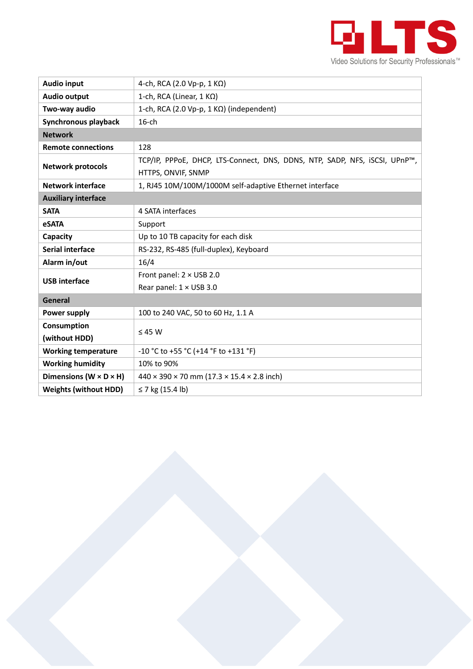

| <b>Audio input</b>                   | 4-ch, RCA (2.0 Vp-p, 1 K $\Omega$ )                                        |  |  |  |
|--------------------------------------|----------------------------------------------------------------------------|--|--|--|
| <b>Audio output</b>                  | 1-ch, RCA (Linear, 1 KΩ)                                                   |  |  |  |
| Two-way audio                        | 1-ch, RCA (2.0 Vp-p, 1 $K\Omega$ ) (independent)                           |  |  |  |
| Synchronous playback                 | $16$ -ch                                                                   |  |  |  |
| <b>Network</b>                       |                                                                            |  |  |  |
| <b>Remote connections</b>            | 128                                                                        |  |  |  |
| <b>Network protocols</b>             | TCP/IP, PPPoE, DHCP, LTS-Connect, DNS, DDNS, NTP, SADP, NFS, iSCSI, UPnP™, |  |  |  |
|                                      | HTTPS, ONVIF, SNMP                                                         |  |  |  |
| <b>Network interface</b>             | 1, RJ45 10M/100M/1000M self-adaptive Ethernet interface                    |  |  |  |
| <b>Auxiliary interface</b>           |                                                                            |  |  |  |
| <b>SATA</b>                          | 4 SATA interfaces                                                          |  |  |  |
| <b>eSATA</b>                         | Support                                                                    |  |  |  |
| Capacity                             | Up to 10 TB capacity for each disk                                         |  |  |  |
| Serial interface                     | RS-232, RS-485 (full-duplex), Keyboard                                     |  |  |  |
| Alarm in/out                         | 16/4                                                                       |  |  |  |
| <b>USB</b> interface                 | Front panel: $2 \times$ USB 2.0                                            |  |  |  |
|                                      | Rear panel: 1 × USB 3.0                                                    |  |  |  |
| <b>General</b>                       |                                                                            |  |  |  |
| Power supply                         | 100 to 240 VAC, 50 to 60 Hz, 1.1 A                                         |  |  |  |
| Consumption                          | $\leq 45$ W                                                                |  |  |  |
| (without HDD)                        |                                                                            |  |  |  |
| <b>Working temperature</b>           | -10 °C to +55 °C (+14 °F to +131 °F)                                       |  |  |  |
| <b>Working humidity</b>              | 10% to 90%                                                                 |  |  |  |
| Dimensions ( $W \times D \times H$ ) | $440 \times 390 \times 70$ mm (17.3 $\times$ 15.4 $\times$ 2.8 inch)       |  |  |  |
| <b>Weights (without HDD)</b>         | ≤ 7 kg (15.4 lb)                                                           |  |  |  |